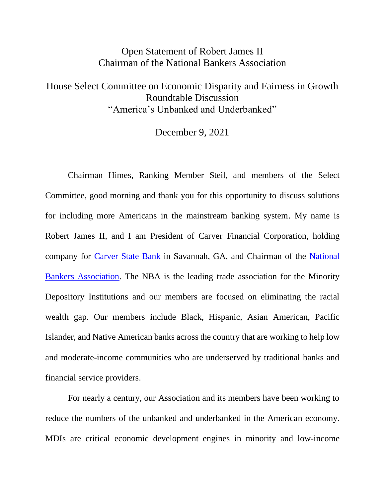## Open Statement of Robert James II Chairman of the National Bankers Association

## House Select Committee on Economic Disparity and Fairness in Growth Roundtable Discussion "America's Unbanked and Underbanked"

December 9, 2021

Chairman Himes, Ranking Member Steil, and members of the Select Committee, good morning and thank you for this opportunity to discuss solutions for including more Americans in the mainstream banking system. My name is Robert James II, and I am President of Carver Financial Corporation, holding company for [Carver State Bank](http://www.carverstatebank.com/) in Savannah, GA, and Chairman of the [National](http://www.nationalbankers.org/)  [Bankers Association.](http://www.nationalbankers.org/) The NBA is the leading trade association for the Minority Depository Institutions and our members are focused on eliminating the racial wealth gap. Our members include Black, Hispanic, Asian American, Pacific Islander, and Native American banks across the country that are working to help low and moderate-income communities who are underserved by traditional banks and financial service providers.

For nearly a century, our Association and its members have been working to reduce the numbers of the unbanked and underbanked in the American economy. MDIs are critical economic development engines in minority and low-income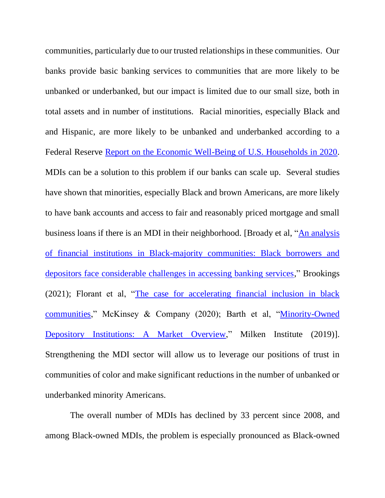communities, particularly due to our trusted relationshipsin these communities. Our banks provide basic banking services to communities that are more likely to be unbanked or underbanked, but our impact is limited due to our small size, both in total assets and in number of institutions. Racial minorities, especially Black and and Hispanic, are more likely to be unbanked and underbanked according to a Federal Reserve [Report on the Economic Well-Being of U.S. Households in 2020.](https://www.federalreserve.gov/publications/2021-economic-well-being-of-us-households-in-2020-banking-and-credit.htm) MDIs can be a solution to this problem if our banks can scale up. Several studies have shown that minorities, especially Black and brown Americans, are more likely to have bank accounts and access to fair and reasonably priced mortgage and small business loans if there is an MDI in their neighborhood. [Broady et al, ["An analysis](https://www.brookings.edu/research/an-analysis-of-financial-institutions-in-black-majority-communities-black-borrowers-and-depositors-face-considerable-challenges-in-accessing-banking-services/)  [of financial institutions in Black-majority communities: Black borrowers and](https://www.brookings.edu/research/an-analysis-of-financial-institutions-in-black-majority-communities-black-borrowers-and-depositors-face-considerable-challenges-in-accessing-banking-services/)  [depositors face considerable challenges in accessing banking services,](https://www.brookings.edu/research/an-analysis-of-financial-institutions-in-black-majority-communities-black-borrowers-and-depositors-face-considerable-challenges-in-accessing-banking-services/)" Brookings (2021); Florant et al, ["The case for accelerating financial inclusion in black](https://www.mckinsey.com/industries/public-and-social-sector/our-insights/the-case-for-accelerating-financial-inclusion-in-black-communities)  [communities,](https://www.mckinsey.com/industries/public-and-social-sector/our-insights/the-case-for-accelerating-financial-inclusion-in-black-communities)" McKinsey & Company (2020); Barth et al, ["Minority-Owned](https://milkeninstitute.org/sites/default/files/reports-pdf/Minority-Owned%20Depository%20Institutions%20-%20A%20Market%20Overview%20UPDATE-3-2p_0.pdf)  [Depository Institutions: A Market Overview,](https://milkeninstitute.org/sites/default/files/reports-pdf/Minority-Owned%20Depository%20Institutions%20-%20A%20Market%20Overview%20UPDATE-3-2p_0.pdf)" Milken Institute (2019)]. Strengthening the MDI sector will allow us to leverage our positions of trust in communities of color and make significant reductions in the number of unbanked or underbanked minority Americans.

The overall number of MDIs has declined by 33 percent since 2008, and among Black-owned MDIs, the problem is especially pronounced as Black-owned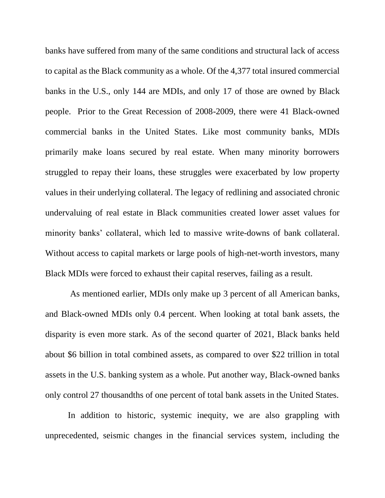banks have suffered from many of the same conditions and structural lack of access to capital as the Black community as a whole. Of the 4,377 total insured commercial banks in the U.S., only 144 are MDIs, and only 17 of those are owned by Black people. Prior to the Great Recession of 2008-2009, there were 41 Black-owned commercial banks in the United States. Like most community banks, MDIs primarily make loans secured by real estate. When many minority borrowers struggled to repay their loans, these struggles were exacerbated by low property values in their underlying collateral. The legacy of redlining and associated chronic undervaluing of real estate in Black communities created lower asset values for minority banks' collateral, which led to massive write-downs of bank collateral. Without access to capital markets or large pools of high-net-worth investors, many Black MDIs were forced to exhaust their capital reserves, failing as a result.

As mentioned earlier, MDIs only make up 3 percent of all American banks, and Black-owned MDIs only 0.4 percent. When looking at total bank assets, the disparity is even more stark. As of the second quarter of 2021, Black banks held about \$6 billion in total combined assets, as compared to over \$22 trillion in total assets in the U.S. banking system as a whole. Put another way, Black-owned banks only control 27 thousandths of one percent of total bank assets in the United States.

In addition to historic, systemic inequity, we are also grappling with unprecedented, seismic changes in the financial services system, including the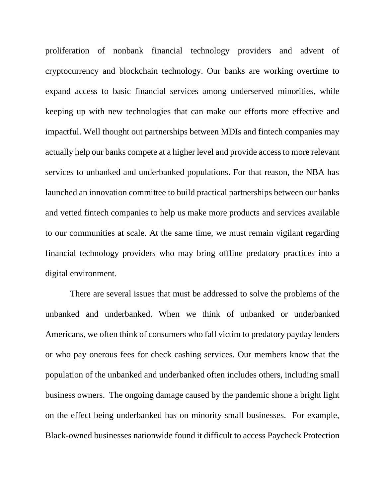proliferation of nonbank financial technology providers and advent of cryptocurrency and blockchain technology. Our banks are working overtime to expand access to basic financial services among underserved minorities, while keeping up with new technologies that can make our efforts more effective and impactful. Well thought out partnerships between MDIs and fintech companies may actually help our banks compete at a higher level and provide access to more relevant services to unbanked and underbanked populations. For that reason, the NBA has launched an innovation committee to build practical partnerships between our banks and vetted fintech companies to help us make more products and services available to our communities at scale. At the same time, we must remain vigilant regarding financial technology providers who may bring offline predatory practices into a digital environment.

There are several issues that must be addressed to solve the problems of the unbanked and underbanked. When we think of unbanked or underbanked Americans, we often think of consumers who fall victim to predatory payday lenders or who pay onerous fees for check cashing services. Our members know that the population of the unbanked and underbanked often includes others, including small business owners. The ongoing damage caused by the pandemic shone a bright light on the effect being underbanked has on minority small businesses. For example, Black-owned businesses nationwide found it difficult to access Paycheck Protection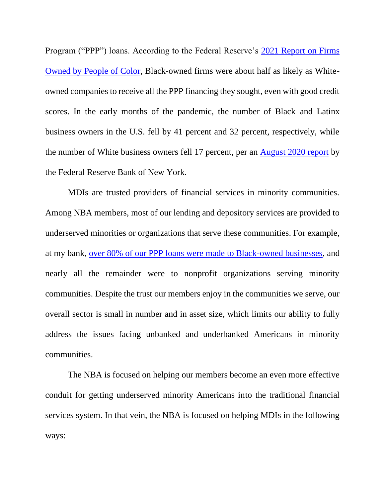Program ("PPP") loans. According to the Federal Reserve's [2021 Report on Firms](https://www.fedsmallbusiness.org/medialibrary/FedSmallBusiness/files/2021/sbcs-report-on-firms-owned-by-people-of-color)  [Owned by People of Color,](https://www.fedsmallbusiness.org/medialibrary/FedSmallBusiness/files/2021/sbcs-report-on-firms-owned-by-people-of-color) Black-owned firms were about half as likely as Whiteowned companies to receive all the PPP financing they sought, even with good credit scores. In the early months of the pandemic, the number of Black and Latinx business owners in the U.S. fell by 41 percent and 32 percent, respectively, while the number of White business owners fell 17 percent, per an [August 2020 report](https://www.newyorkfed.org/medialibrary/FedSmallBusiness/files/2020/DoubleJeopardy_COVID19andBlackOwnedBusinesses) by the Federal Reserve Bank of New York.

MDIs are trusted providers of financial services in minority communities. Among NBA members, most of our lending and depository services are provided to underserved minorities or organizations that serve these communities. For example, at my bank, [over 80% of our PPP loans were made to Black-owned businesses,](https://www.carverstatebank.com/impact-by-the-numbers/) and nearly all the remainder were to nonprofit organizations serving minority communities. Despite the trust our members enjoy in the communities we serve, our overall sector is small in number and in asset size, which limits our ability to fully address the issues facing unbanked and underbanked Americans in minority communities.

The NBA is focused on helping our members become an even more effective conduit for getting underserved minority Americans into the traditional financial services system. In that vein, the NBA is focused on helping MDIs in the following ways: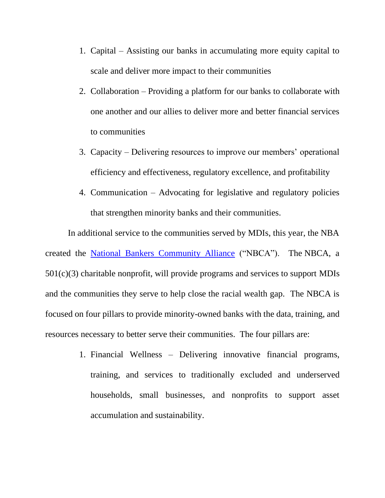- 1. Capital Assisting our banks in accumulating more equity capital to scale and deliver more impact to their communities
- 2. Collaboration Providing a platform for our banks to collaborate with one another and our allies to deliver more and better financial services to communities
- 3. Capacity Delivering resources to improve our members' operational efficiency and effectiveness, regulatory excellence, and profitability
- 4. Communication Advocating for legislative and regulatory policies that strengthen minority banks and their communities.

In additional service to the communities served by MDIs, this year, the NBA created the [National Bankers Community Alliance](https://www.nationalbankers.org/alliance) ("NBCA"). The NBCA, a 501(c)(3) charitable nonprofit, will provide programs and services to support MDIs and the communities they serve to help close the racial wealth gap. The NBCA is focused on four pillars to provide minority-owned banks with the data, training, and resources necessary to better serve their communities. The four pillars are:

> 1. Financial Wellness – Delivering innovative financial programs, training, and services to traditionally excluded and underserved households, small businesses, and nonprofits to support asset accumulation and sustainability.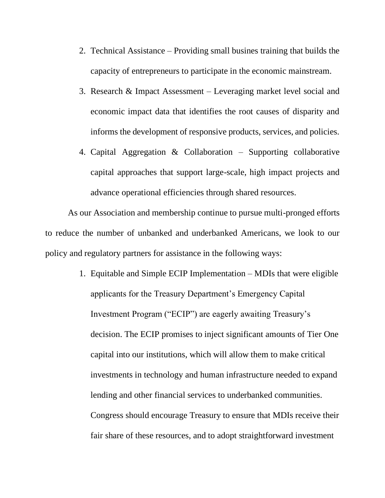- 2. Technical Assistance Providing small busines training that builds the capacity of entrepreneurs to participate in the economic mainstream.
- 3. Research & Impact Assessment Leveraging market level social and economic impact data that identifies the root causes of disparity and informs the development of responsive products, services, and policies.
- 4. Capital Aggregation & Collaboration Supporting collaborative capital approaches that support large-scale, high impact projects and advance operational efficiencies through shared resources.

As our Association and membership continue to pursue multi-pronged efforts to reduce the number of unbanked and underbanked Americans, we look to our policy and regulatory partners for assistance in the following ways:

> 1. Equitable and Simple ECIP Implementation – MDIs that were eligible applicants for the Treasury Department's Emergency Capital Investment Program ("ECIP") are eagerly awaiting Treasury's decision. The ECIP promises to inject significant amounts of Tier One capital into our institutions, which will allow them to make critical investments in technology and human infrastructure needed to expand lending and other financial services to underbanked communities. Congress should encourage Treasury to ensure that MDIs receive their fair share of these resources, and to adopt straightforward investment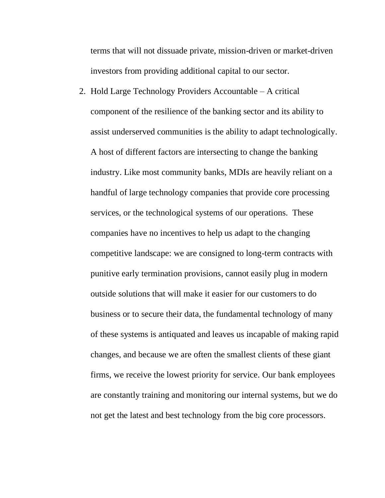terms that will not dissuade private, mission-driven or market-driven investors from providing additional capital to our sector.

2. Hold Large Technology Providers Accountable – A critical component of the resilience of the banking sector and its ability to assist underserved communities is the ability to adapt technologically. A host of different factors are intersecting to change the banking industry. Like most community banks, MDIs are heavily reliant on a handful of large technology companies that provide core processing services, or the technological systems of our operations. These companies have no incentives to help us adapt to the changing competitive landscape: we are consigned to long-term contracts with punitive early termination provisions, cannot easily plug in modern outside solutions that will make it easier for our customers to do business or to secure their data, the fundamental technology of many of these systems is antiquated and leaves us incapable of making rapid changes, and because we are often the smallest clients of these giant firms, we receive the lowest priority for service. Our bank employees are constantly training and monitoring our internal systems, but we do not get the latest and best technology from the big core processors.